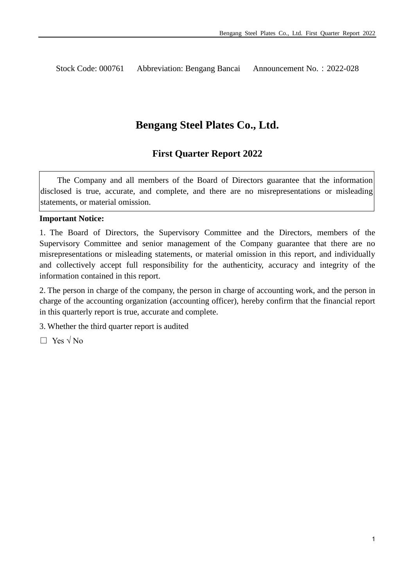Stock Code: 000761 Abbreviation: Bengang Bancai Announcement No.:2022-028

# **Bengang Steel Plates Co., Ltd.**

# **First Quarter Report 2022**

The Company and all members of the Board of Directors guarantee that the information disclosed is true, accurate, and complete, and there are no misrepresentations or misleading statements, or material omission.

### **Important Notice:**

1. The Board of Directors, the Supervisory Committee and the Directors, members of the Supervisory Committee and senior management of the Company guarantee that there are no misrepresentations or misleading statements, or material omission in this report, and individually and collectively accept full responsibility for the authenticity, accuracy and integrity of the information contained in this report.

2. The person in charge of the company, the person in charge of accounting work, and the person in charge of the accounting organization (accounting officer), hereby confirm that the financial report in this quarterly report is true, accurate and complete.

3. Whether the third quarter report is audited

 $\Box$  Yes  $\sqrt{N_0}$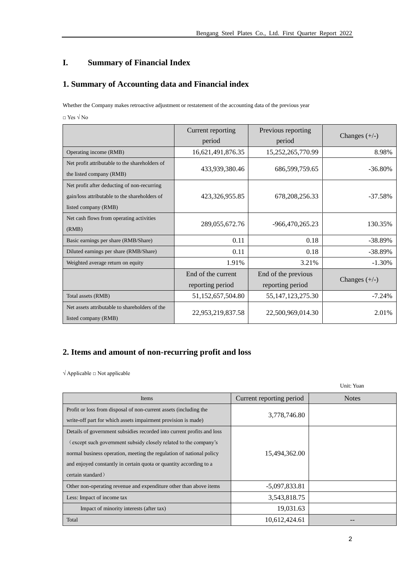### **I. Summary of Financial Index**

### **1. Summary of Accounting data and Financial index**

Whether the Company makes retroactive adjustment or restatement of the accounting data of the previous year

 $\Box$  Yes  $\sqrt{\rm ~No}$ 

|                                                                                                                      | Current reporting<br>Previous reporting<br>period<br>period |                                         | Changes $(+/-)$ |
|----------------------------------------------------------------------------------------------------------------------|-------------------------------------------------------------|-----------------------------------------|-----------------|
| Operating income (RMB)                                                                                               | 16,621,491,876.35                                           | 15,252,265,770.99                       | 8.98%           |
| Net profit attributable to the shareholders of<br>the listed company (RMB)                                           | 433,939,380.46                                              | 686,599,759.65                          | -36.80%         |
| Net profit after deducting of non-recurring<br>gain/loss attributable to the shareholders of<br>listed company (RMB) | 423,326,955.85                                              | 678, 208, 256. 33                       | $-37.58\%$      |
| Net cash flows from operating activities<br>(RMB)                                                                    | 289,055,672.76                                              | -966,470,265.23                         | 130.35%         |
| Basic earnings per share (RMB/Share)                                                                                 | 0.11                                                        | 0.18                                    | $-38.89%$       |
| Diluted earnings per share (RMB/Share)                                                                               | 0.11                                                        | 0.18                                    | $-38.89%$       |
| Weighted average return on equity                                                                                    | 1.91%                                                       | 3.21%                                   | $-1.30\%$       |
|                                                                                                                      | End of the current<br>reporting period                      | End of the previous<br>reporting period | Changes $(+/-)$ |
| Total assets (RMB)                                                                                                   | 51,152,657,504.80                                           | 55, 147, 123, 275. 30                   | $-7.24%$        |
| Net assets attributable to shareholders of the<br>listed company (RMB)                                               | 22,953,219,837.58                                           | 22,500,969,014.30                       | 2.01%           |

### **2. Items and amount of non-recurring profit and loss**

√ Applicable □ Not applicable

|                                                                        |                          | Unit: Yuan   |
|------------------------------------------------------------------------|--------------------------|--------------|
| Items                                                                  | Current reporting period | <b>Notes</b> |
| Profit or loss from disposal of non-current assets (including the      | 3,778,746.80             |              |
| write-off part for which assets impairment provision is made)          |                          |              |
| Details of government subsidies recorded into current profits and loss |                          |              |
| (except such government subsidy closely related to the company's       |                          |              |
| normal business operation, meeting the regulation of national policy   | 15,494,362.00            |              |
| and enjoyed constantly in certain quota or quantity according to a     |                          |              |
| certain standard)                                                      |                          |              |
| Other non-operating revenue and expenditure other than above items     | $-5,097,833.81$          |              |
| Less: Impact of income tax                                             | 3,543,818.75             |              |
| Impact of minority interests (after tax)                               | 19,031.63                |              |
| Total                                                                  | 10,612,424.61            | --           |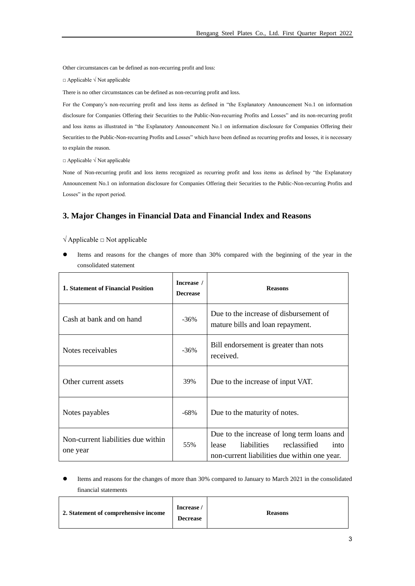Other circumstances can be defined as non-recurring profit and loss:

□ Applicable √ Not applicable

There is no other circumstances can be defined as non-recurring profit and loss.

For the Company's non-recurring profit and loss items as defined in "the Explanatory Announcement No.1 on information disclosure for Companies Offering their Securities to the Public-Non-recurring Profits and Losses" and its non-recurring profit and loss items as illustrated in "the Explanatory Announcement No.1 on information disclosure for Companies Offering their Securities to the Public-Non-recurring Profits and Losses" which have been defined as recurring profits and losses, it is necessary to explain the reason.

□ Applicable √ Not applicable

None of Non-recurring profit and loss items recognized as recurring profit and loss items as defined by "the Explanatory Announcement No.1 on information disclosure for Companies Offering their Securities to the Public-Non-recurring Profits and Losses" in the report period.

#### **3. Major Changes in Financial Data and Financial Index and Reasons**

- √ Applicable □ Not applicable
- Items and reasons for the changes of more than 30% compared with the beginning of the year in the consolidated statement

| 1. Statement of Financial Position             | Increase /<br><b>Decrease</b> | <b>Reasons</b>                                                                                                                          |
|------------------------------------------------|-------------------------------|-----------------------------------------------------------------------------------------------------------------------------------------|
| Cash at bank and on hand                       | $-36%$                        | Due to the increase of disbursement of<br>mature bills and loan repayment.                                                              |
| Notes receivables                              | $-36%$                        | Bill endorsement is greater than nots<br>received.                                                                                      |
| Other current assets                           | 39%                           | Due to the increase of input VAT.                                                                                                       |
| Notes payables                                 | $-68\%$                       | Due to the maturity of notes.                                                                                                           |
| Non-current liabilities due within<br>one year | 55%                           | Due to the increase of long term loans and<br>liabilities reclassified<br>lease<br>into<br>non-current liabilities due within one year. |

 Items and reasons for the changes of more than 30% compared to January to March 2021 in the consolidated financial statements Т

| Increase /<br>2. Statement of comprehensive income<br><b>Decrease</b> | <b>Reasons</b> |
|-----------------------------------------------------------------------|----------------|
|-----------------------------------------------------------------------|----------------|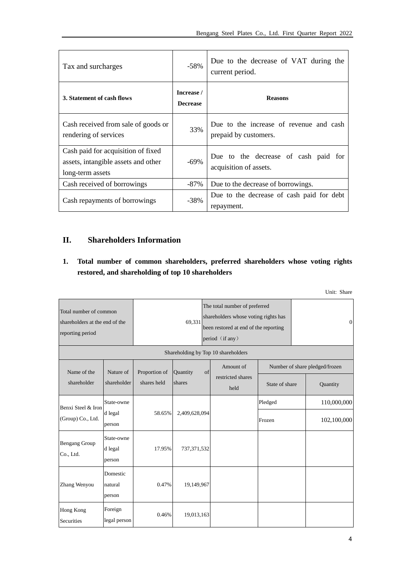| Tax and surcharges                                                                            | $-58%$                        | Due to the decrease of VAT during the<br>current period.         |
|-----------------------------------------------------------------------------------------------|-------------------------------|------------------------------------------------------------------|
| 3. Statement of cash flows                                                                    | Increase /<br><b>Decrease</b> | <b>Reasons</b>                                                   |
| Cash received from sale of goods or<br>rendering of services                                  | 33%                           | Due to the increase of revenue and cash<br>prepaid by customers. |
| Cash paid for acquisition of fixed<br>assets, intangible assets and other<br>long-term assets | $-69\%$                       | Due to the decrease of cash paid for<br>acquisition of assets.   |
| Cash received of borrowings                                                                   | $-87\%$                       | Due to the decrease of borrowings.                               |
| Cash repayments of borrowings                                                                 | $-38\%$                       | Due to the decrease of cash paid for debt<br>repayment.          |

### **II. Shareholders Information**

# **1. Total number of common shareholders, preferred shareholders whose voting rights restored, and shareholding of top 10 shareholders**

|                                                                              |                                 |               |               |                           |                                                                                                                                   |          | Unit: Share                    |             |
|------------------------------------------------------------------------------|---------------------------------|---------------|---------------|---------------------------|-----------------------------------------------------------------------------------------------------------------------------------|----------|--------------------------------|-------------|
| Total number of common<br>shareholders at the end of the<br>reporting period |                                 | 69,331        |               |                           | The total number of preferred<br>shareholders whose voting rights has<br>been restored at end of the reporting<br>period (if any) |          | $\mathbf{0}$                   |             |
|                                                                              |                                 |               |               |                           | Shareholding by Top 10 shareholders                                                                                               |          |                                |             |
| Name of the                                                                  | Nature of                       | Proportion of | Quantity      | of                        | Amount of                                                                                                                         |          | Number of share pledged/frozen |             |
| shareholder                                                                  | shareholder                     | shares held   | shares        | restricted shares<br>held | State of share                                                                                                                    | Quantity |                                |             |
| Benxi Steel & Iron                                                           | State-owne                      |               |               |                           |                                                                                                                                   | Pledged  | 110,000,000                    |             |
| (Group) Co., Ltd.                                                            | d legal<br>person               | 58.65%        | 2,409,628,094 |                           |                                                                                                                                   |          | Frozen                         | 102,100,000 |
| <b>Bengang Group</b><br>Co., Ltd.                                            | State-owne<br>d legal<br>person | 17.95%        | 737, 371, 532 |                           |                                                                                                                                   |          |                                |             |
| Zhang Wenyou                                                                 | Domestic<br>natural<br>person   | 0.47%         | 19,149,967    |                           |                                                                                                                                   |          |                                |             |
| Hong Kong<br>Securities                                                      | Foreign<br>legal person         | 0.46%         | 19,013,163    |                           |                                                                                                                                   |          |                                |             |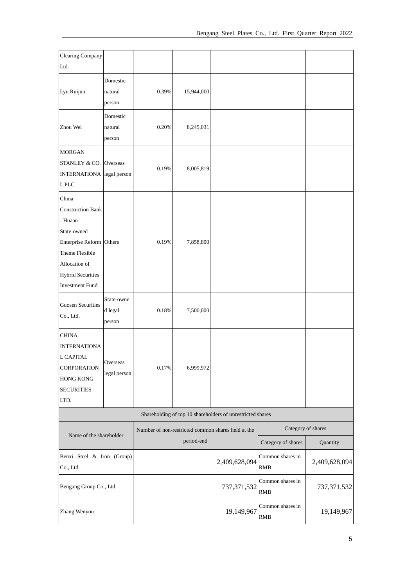| Clearing Company                                                                                                                                                                 |                                 |               |               |                                                            |                                                      |                           |
|----------------------------------------------------------------------------------------------------------------------------------------------------------------------------------|---------------------------------|---------------|---------------|------------------------------------------------------------|------------------------------------------------------|---------------------------|
| Ltd.                                                                                                                                                                             |                                 |               |               |                                                            |                                                      |                           |
| Lyu Ruijun                                                                                                                                                                       | Domestic<br>natural<br>person   | 0.39%         | 15,944,000    |                                                            |                                                      |                           |
| Zhou Wei                                                                                                                                                                         | Domestic<br>natural<br>person   | 0.20%         | 8,245,031     |                                                            |                                                      |                           |
| <b>MORGAN</b><br>STANLEY & CO. Overseas<br>INTERNATIONA legal person<br>L PLC                                                                                                    |                                 | 0.19%         | 8,005,819     |                                                            |                                                      |                           |
| China<br><b>Construction Bank</b><br>- Huaan<br>State-owned<br>Enterprise Reform Others<br>Theme Flexible<br>Allocation of<br><b>Hybrid Securities</b><br><b>Investment Fund</b> |                                 | 0.19%         | 7,858,800     |                                                            |                                                      |                           |
| <b>Guosen Securities</b><br>Co., Ltd.                                                                                                                                            | State-owne<br>d legal<br>person | 0.18%         | 7,500,000     |                                                            |                                                      |                           |
| <b>CHINA</b><br><b>INTERNATIONA</b><br><b>L CAPITAL</b><br><b>CORPORATION</b><br><b>HONG KONG</b><br><b>SECURITIES</b><br>LTD.                                                   | Overseas<br>legal person        | 0.17%         | 6,999,972     |                                                            |                                                      |                           |
|                                                                                                                                                                                  |                                 |               |               | Shareholding of top 10 shareholders of unrestricted shares |                                                      |                           |
| Name of the shareholder                                                                                                                                                          |                                 |               | period-end    | Number of non-restricted common shares held at the         | Category of shares                                   |                           |
| Benxi Steel & Iron (Group)<br>Co., Ltd.                                                                                                                                          |                                 | 2,409,628,094 |               |                                                            | Category of shares<br>Common shares in<br><b>RMB</b> | Quantity<br>2,409,628,094 |
| Bengang Group Co., Ltd.                                                                                                                                                          |                                 |               | 737, 371, 532 |                                                            |                                                      | 737, 371, 532             |
| Zhang Wenyou                                                                                                                                                                     |                                 | 19,149,967    |               |                                                            | Common shares in<br><b>RMB</b>                       | 19,149,967                |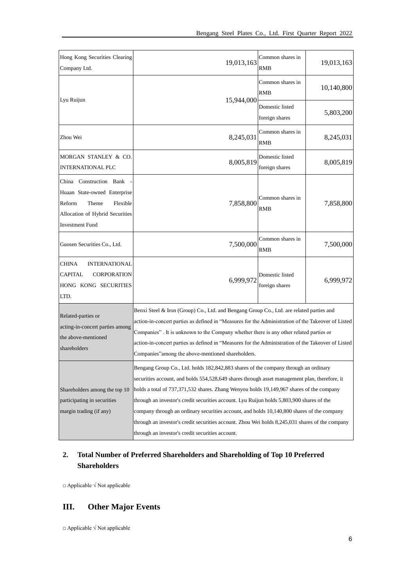| Hong Kong Securities Clearing<br>Company Ltd.                                                                                                       | 19,013,163                                                                                                                                                                                                                                                                                                                                                                                                                                                                                                                                                                                                                         | Common shares in<br><b>RMB</b>    | 19,013,163 |  |
|-----------------------------------------------------------------------------------------------------------------------------------------------------|------------------------------------------------------------------------------------------------------------------------------------------------------------------------------------------------------------------------------------------------------------------------------------------------------------------------------------------------------------------------------------------------------------------------------------------------------------------------------------------------------------------------------------------------------------------------------------------------------------------------------------|-----------------------------------|------------|--|
|                                                                                                                                                     |                                                                                                                                                                                                                                                                                                                                                                                                                                                                                                                                                                                                                                    | Common shares in<br><b>RMB</b>    | 10,140,800 |  |
| Lyu Ruijun                                                                                                                                          | 15,944,000                                                                                                                                                                                                                                                                                                                                                                                                                                                                                                                                                                                                                         | Domestic listed<br>foreign shares | 5,803,200  |  |
| Zhou Wei                                                                                                                                            | 8,245,031                                                                                                                                                                                                                                                                                                                                                                                                                                                                                                                                                                                                                          | Common shares in<br><b>RMB</b>    | 8,245,031  |  |
| MORGAN STANLEY & CO.<br><b>INTERNATIONAL PLC</b>                                                                                                    | 8,005,819                                                                                                                                                                                                                                                                                                                                                                                                                                                                                                                                                                                                                          | Domestic listed<br>foreign shares | 8,005,819  |  |
| China Construction Bank<br>Huaan State-owned Enterprise<br>Reform<br>Theme<br>Flexible<br>Allocation of Hybrid Securities<br><b>Investment Fund</b> | 7,858,800                                                                                                                                                                                                                                                                                                                                                                                                                                                                                                                                                                                                                          | Common shares in<br><b>RMB</b>    | 7,858,800  |  |
| Guosen Securities Co., Ltd.                                                                                                                         | 7,500,000                                                                                                                                                                                                                                                                                                                                                                                                                                                                                                                                                                                                                          | Common shares in<br><b>RMB</b>    | 7,500,000  |  |
| <b>CHINA</b><br><b>INTERNATIONAL</b><br><b>CAPITAL</b><br><b>CORPORATION</b><br>HONG KONG SECURITIES<br>LTD.                                        | 6,999,972                                                                                                                                                                                                                                                                                                                                                                                                                                                                                                                                                                                                                          | Domestic listed<br>foreign shares | 6,999,972  |  |
| Related-parties or<br>acting-in-concert parties among<br>the above-mentioned<br>shareholders                                                        | Benxi Steel & Iron (Group) Co., Ltd. and Bengang Group Co., Ltd. are related parties and<br>action-in-concert parties as defined in "Measures for the Administration of the Takeover of Listed<br>Companies". It is unknown to the Company whether there is any other related parties or<br>action-in-concert parties as defined in "Measures for the Administration of the Takeover of Listed<br>Companies" among the above-mentioned shareholders.                                                                                                                                                                               |                                   |            |  |
| Shareholders among the top 10<br>participating in securities<br>margin trading (if any)                                                             | Bengang Group Co., Ltd. holds 182,842,883 shares of the company through an ordinary<br>securities account, and holds 554,528,649 shares through asset management plan, therefore, it<br>holds a total of 737,371,532 shares. Zhang Wenyou holds 19,149,967 shares of the company<br>through an investor's credit securities account. Lyu Ruijun holds 5,803,900 shares of the<br>company through an ordinary securities account, and holds 10,140,800 shares of the company<br>through an investor's credit securities account. Zhou Wei holds 8,245,031 shares of the company<br>through an investor's credit securities account. |                                   |            |  |

# **2. Total Number of Preferred Shareholders and Shareholding of Top 10 Preferred Shareholders**

□ Applicable √ Not applicable

# **III. Other Major Events**

□ Applicable √ Not applicable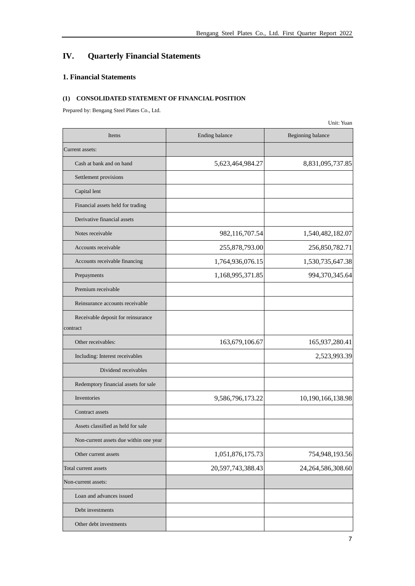# **IV. Quarterly Financial Statements**

#### **1. Financial Statements**

#### **(1) CONSOLIDATED STATEMENT OF FINANCIAL POSITION**

Prepared by: Bengang Steel Plates Co., Ltd.

|                                        |                   | Unit: Yuan        |
|----------------------------------------|-------------------|-------------------|
| Items                                  | Ending balance    | Beginning balance |
| Current assets:                        |                   |                   |
| Cash at bank and on hand               | 5,623,464,984.27  | 8,831,095,737.85  |
| Settlement provisions                  |                   |                   |
| Capital lent                           |                   |                   |
| Financial assets held for trading      |                   |                   |
| Derivative financial assets            |                   |                   |
| Notes receivable                       | 982,116,707.54    | 1,540,482,182.07  |
| Accounts receivable                    | 255,878,793.00    | 256,850,782.71    |
| Accounts receivable financing          | 1,764,936,076.15  | 1,530,735,647.38  |
| Prepayments                            | 1,168,995,371.85  | 994,370,345.64    |
| Premium receivable                     |                   |                   |
| Reinsurance accounts receivable        |                   |                   |
| Receivable deposit for reinsurance     |                   |                   |
| contract                               |                   |                   |
| Other receivables:                     | 163,679,106.67    | 165,937,280.41    |
| Including: Interest receivables        |                   | 2,523,993.39      |
| Dividend receivables                   |                   |                   |
| Redemptory financial assets for sale   |                   |                   |
| Inventories                            | 9,586,796,173.22  | 10,190,166,138.98 |
| Contract assets                        |                   |                   |
| Assets classified as held for sale     |                   |                   |
| Non-current assets due within one year |                   |                   |
| Other current assets                   | 1,051,876,175.73  | 754,948,193.56    |
| Total current assets                   | 20,597,743,388.43 | 24,264,586,308.60 |
| Non-current assets:                    |                   |                   |
| Loan and advances issued               |                   |                   |
| Debt investments                       |                   |                   |
| Other debt investments                 |                   |                   |

7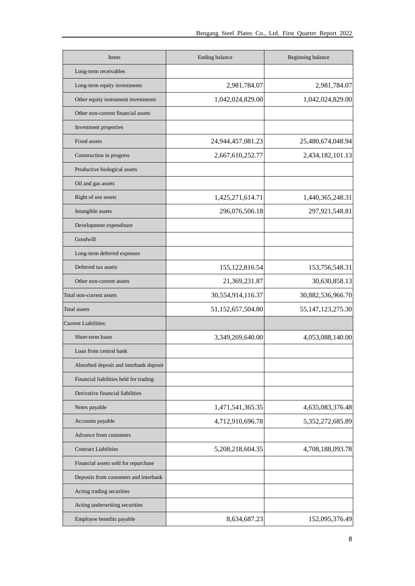| Items                                  | Ending balance    | Beginning balance     |
|----------------------------------------|-------------------|-----------------------|
| Long-term receivables                  |                   |                       |
| Long-term equity investments           | 2,981,784.07      | 2,981,784.07          |
| Other equity instrument investments    | 1,042,024,829.00  | 1,042,024,829.00      |
| Other non-current financial assets     |                   |                       |
| Investment properties                  |                   |                       |
| <b>Fixed assets</b>                    | 24,944,457,081.23 | 25,480,674,048.94     |
| Construction in progress               | 2,667,610,252.77  | 2,434,182,101.13      |
| Productive biological assets           |                   |                       |
| Oil and gas assets                     |                   |                       |
| Right of use assets                    | 1,425,271,614.71  | 1,440,365,248.31      |
| Intangible assets                      | 296,076,506.18    | 297,921,548.81        |
| Development expenditure                |                   |                       |
| Goodwill                               |                   |                       |
| Long-term deferred expenses            |                   |                       |
| Deferred tax assets                    | 155, 122, 816.54  | 153,756,548.31        |
| Other non-current assets               | 21,369,231.87     | 30,630,858.13         |
| Total non-current assets               | 30,554,914,116.37 | 30,882,536,966.70     |
| Total assets                           | 51,152,657,504.80 | 55, 147, 123, 275. 30 |
| <b>Current Liabilities:</b>            |                   |                       |
| Short-term loans                       | 3,349,269,640.00  | 4,053,088,140.00      |
| Loan from central bank                 |                   |                       |
| Absorbed deposit and interbank deposit |                   |                       |
| Financial liabilities held for trading |                   |                       |
| Derivative financial liabilities       |                   |                       |
| Notes payable                          | 1,471,541,365.35  | 4,635,083,376.48      |
| Accounts payable                       | 4,712,910,696.78  | 5,352,272,685.89      |
| Advance from customers                 |                   |                       |
| <b>Contract Liabilities</b>            | 5,208,218,604.35  | 4,708,188,093.78      |
| Financial assets sold for repurchase   |                   |                       |
| Deposits from customers and interbank  |                   |                       |
| Acting trading securities              |                   |                       |
| Acting underwriting securities         |                   |                       |
| Employee benefits payable              | 8,634,687.23      | 152,095,376.49        |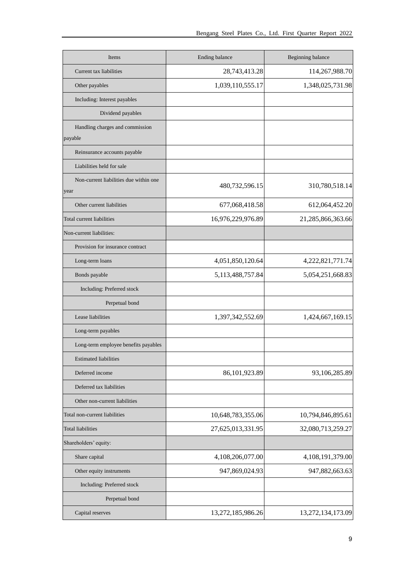| Items                                          | Ending balance    | Beginning balance |
|------------------------------------------------|-------------------|-------------------|
| Current tax liabilities                        | 28,743,413.28     | 114,267,988.70    |
| Other payables                                 | 1,039,110,555.17  | 1,348,025,731.98  |
| Including: Interest payables                   |                   |                   |
| Dividend payables                              |                   |                   |
| Handling charges and commission<br>payable     |                   |                   |
| Reinsurance accounts payable                   |                   |                   |
| Liabilities held for sale                      |                   |                   |
| Non-current liabilities due within one<br>year | 480,732,596.15    | 310,780,518.14    |
| Other current liabilities                      | 677,068,418.58    | 612,064,452.20    |
| Total current liabilities                      | 16,976,229,976.89 | 21,285,866,363.66 |
| Non-current liabilities:                       |                   |                   |
| Provision for insurance contract               |                   |                   |
| Long-term loans                                | 4,051,850,120.64  | 4,222,821,771.74  |
| Bonds payable                                  | 5,113,488,757.84  | 5,054,251,668.83  |
| Including: Preferred stock                     |                   |                   |
| Perpetual bond                                 |                   |                   |
| Lease liabilities                              | 1,397,342,552.69  | 1,424,667,169.15  |
| Long-term payables                             |                   |                   |
| Long-term employee benefits payables           |                   |                   |
| <b>Estimated liabilities</b>                   |                   |                   |
| Deferred income                                | 86,101,923.89     | 93,106,285.89     |
| Deferred tax liabilities                       |                   |                   |
| Other non-current liabilities                  |                   |                   |
| Total non-current liabilities                  | 10,648,783,355.06 | 10,794,846,895.61 |
| Total liabilities                              | 27,625,013,331.95 | 32,080,713,259.27 |
| Shareholders' equity:                          |                   |                   |
| Share capital                                  | 4,108,206,077.00  | 4,108,191,379.00  |
| Other equity instruments                       | 947,869,024.93    | 947,882,663.63    |
| Including: Preferred stock                     |                   |                   |
| Perpetual bond                                 |                   |                   |
| Capital reserves                               | 13,272,185,986.26 | 13,272,134,173.09 |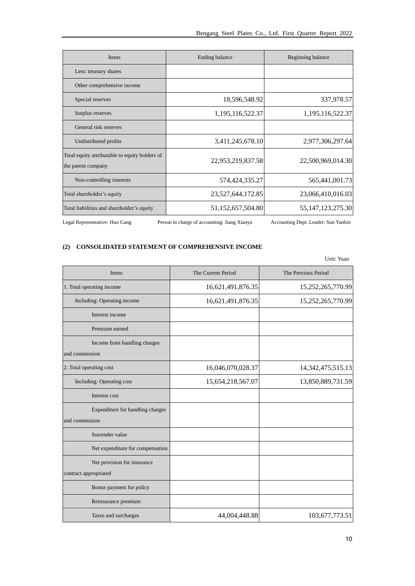| <b>Items</b>                                                         | Ending balance    | Beginning balance     |
|----------------------------------------------------------------------|-------------------|-----------------------|
| Less: treasury shares                                                |                   |                       |
| Other comprehensive income                                           |                   |                       |
| Special reserves                                                     | 18,596,548.92     | 337,978.57            |
| Surplus reserves                                                     | 1,195,116,522.37  | 1,195,116,522.37      |
| General risk reserves                                                |                   |                       |
| Undistributed profits                                                | 3,411,245,678.10  | 2,977,306,297.64      |
| Total equity attributable to equity holders of<br>the parent company | 22,953,219,837.58 | 22,500,969,014.30     |
| Non-controlling interests                                            | 574,424,335.27    | 565,441,001.73        |
| Total shareholder's equity                                           | 23,527,644,172.85 | 23,066,410,016.03     |
| Total liabilities and shareholder's equity                           | 51,152,657,504.80 | 55, 147, 123, 275. 30 |

Legal Representative: Huo Gang Person in charge of accounting: Jiang Xiaoyu Accounting Dept. Leader: Sun Yanbin

#### **(2) CONSOLIDATED STATEMENT OF COMPREHENSIVE INCOME**

|                                                      |                    | Unit: Yuan            |
|------------------------------------------------------|--------------------|-----------------------|
| Items                                                | The Current Period | The Previous Period   |
| 1. Total operating income                            | 16,621,491,876.35  | 15,252,265,770.99     |
| Including: Operating income                          | 16,621,491,876.35  | 15,252,265,770.99     |
| Interest income                                      |                    |                       |
| Premium earned                                       |                    |                       |
| Income from handling charges<br>and commission       |                    |                       |
| 2. Total operating cost                              | 16,046,070,028.37  | 14, 342, 475, 515. 13 |
| Including: Operating cost                            | 15,654,218,567.07  | 13,850,889,731.59     |
| Interest cost                                        |                    |                       |
| Expenditure for handling charges<br>and commission   |                    |                       |
| Surrender value                                      |                    |                       |
| Net expenditure for compensation                     |                    |                       |
| Net provision for insurance<br>contract appropriated |                    |                       |
| Bonus payment for policy                             |                    |                       |
| Reinsurance premium                                  |                    |                       |
| Taxes and surcharges                                 | 44,004,448.88      | 103,677,773.51        |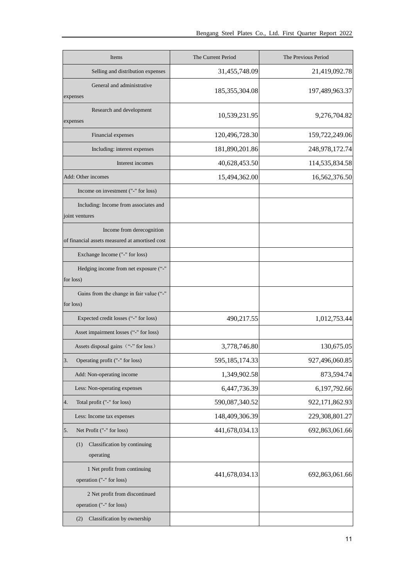| Items                                                                       | The Current Period | The Previous Period |
|-----------------------------------------------------------------------------|--------------------|---------------------|
| Selling and distribution expenses                                           | 31,455,748.09      | 21,419,092.78       |
| General and administrative<br>expenses                                      | 185, 355, 304. 08  | 197,489,963.37      |
| Research and development<br>expenses                                        | 10,539,231.95      | 9,276,704.82        |
| Financial expenses                                                          | 120,496,728.30     | 159,722,249.06      |
| Including: interest expenses                                                | 181,890,201.86     | 248,978,172.74      |
| Interest incomes                                                            | 40,628,453.50      | 114,535,834.58      |
| Add: Other incomes                                                          | 15,494,362.00      | 16,562,376.50       |
| Income on investment ("-" for loss)                                         |                    |                     |
| Including: Income from associates and<br>joint ventures                     |                    |                     |
| Income from derecognition<br>of financial assets measured at amortised cost |                    |                     |
| Exchange Income ("-" for loss)                                              |                    |                     |
| Hedging income from net exposure ("-"<br>for loss)                          |                    |                     |
| Gains from the change in fair value ("-"<br>for loss)                       |                    |                     |
| Expected credit losses ("-" for loss)                                       | 490,217.55         | 1,012,753.44        |
| Asset impairment losses ("-" for loss)                                      |                    |                     |
| Assets disposal gains ("-" for loss)                                        | 3,778,746.80       | 130,675.05          |
| Operating profit ("-" for loss)                                             | 595,185,174.33     | 927,496,060.85      |
| Add: Non-operating income                                                   | 1,349,902.58       | 873,594.74          |
| Less: Non-operating expenses                                                | 6,447,736.39       | 6,197,792.66        |
| Total profit ("-" for loss)<br>4.                                           | 590,087,340.52     | 922,171,862.93      |
| Less: Income tax expenses                                                   | 148,409,306.39     | 229,308,801.27      |
| 5.<br>Net Profit ("-" for loss)                                             | 441,678,034.13     | 692,863,061.66      |
| Classification by continuing<br>(1)<br>operating                            |                    |                     |
| 1 Net profit from continuing<br>operation ("-" for loss)                    | 441,678,034.13     | 692,863,061.66      |
| 2 Net profit from discontinued<br>operation ("-" for loss)                  |                    |                     |
| Classification by ownership<br>(2)                                          |                    |                     |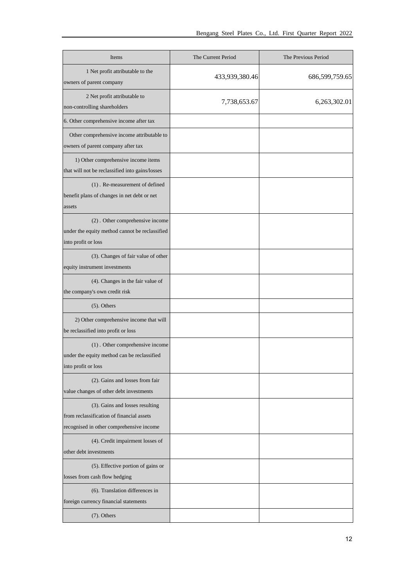| Items                                                                                                                    | The Current Period | The Previous Period |
|--------------------------------------------------------------------------------------------------------------------------|--------------------|---------------------|
| 1 Net profit attributable to the<br>owners of parent company                                                             | 433,939,380.46     | 686,599,759.65      |
| 2 Net profit attributable to<br>non-controlling shareholders                                                             | 7,738,653.67       | 6,263,302.01        |
| 6. Other comprehensive income after tax                                                                                  |                    |                     |
| Other comprehensive income attributable to<br>owners of parent company after tax                                         |                    |                     |
| 1) Other comprehensive income items<br>that will not be reclassified into gains/losses                                   |                    |                     |
| (1). Re-measurement of defined<br>benefit plans of changes in net debt or net<br>assets                                  |                    |                     |
| (2). Other comprehensive income<br>under the equity method cannot be reclassified<br>into profit or loss                 |                    |                     |
| (3). Changes of fair value of other<br>equity instrument investments                                                     |                    |                     |
| (4). Changes in the fair value of<br>the company's own credit risk                                                       |                    |                     |
| $(5)$ . Others                                                                                                           |                    |                     |
| 2) Other comprehensive income that will<br>be reclassified into profit or loss                                           |                    |                     |
| (1). Other comprehensive income<br>under the equity method can be reclassified<br>into profit or loss                    |                    |                     |
| (2). Gains and losses from fair<br>value changes of other debt investments                                               |                    |                     |
| (3). Gains and losses resulting<br>from reclassification of financial assets<br>recognised in other comprehensive income |                    |                     |
| (4). Credit impairment losses of<br>other debt investments                                                               |                    |                     |
| (5). Effective portion of gains or<br>losses from cash flow hedging                                                      |                    |                     |
| (6). Translation differences in<br>foreign currency financial statements                                                 |                    |                     |
| $(7)$ . Others                                                                                                           |                    |                     |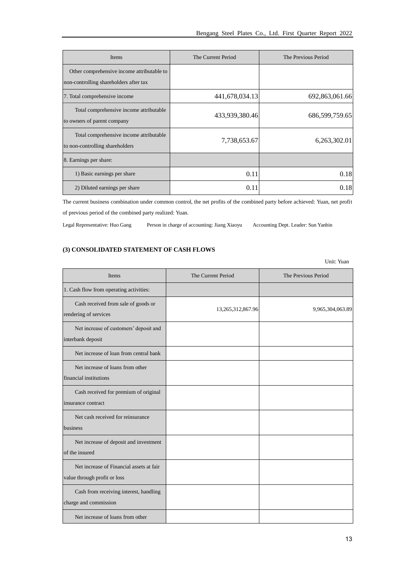| Items                                                                                | The Current Period | The Previous Period |
|--------------------------------------------------------------------------------------|--------------------|---------------------|
| Other comprehensive income attributable to<br>non-controlling shareholders after tax |                    |                     |
| 7. Total comprehensive income                                                        | 441,678,034.13     | 692,863,061.66      |
| Total comprehensive income attributable<br>to owners of parent company               | 433,939,380.46     | 686,599,759.65      |
| Total comprehensive income attributable<br>to non-controlling shareholders           | 7,738,653.67       | 6,263,302.01        |
| 8. Earnings per share:                                                               |                    |                     |
| 1) Basic earnings per share                                                          | 0.11               | 0.18                |
| 2) Diluted earnings per share                                                        | 0.11               | 0.18                |

The current business combination under common control, the net profits of the combined party before achieved: Yuan, net profit of previous period of the combined party realized: Yuan.

Legal Representative: Huo Gang Person in charge of accounting: Jiang Xiaoyu Accounting Dept. Leader: Sun Yanbin

#### **(3) CONSOLIDATED STATEMENT OF CASH FLOWS**

Unit: Yuan

| Items                                                                    | The Current Period | The Previous Period |
|--------------------------------------------------------------------------|--------------------|---------------------|
| 1. Cash flow from operating activities:                                  |                    |                     |
| Cash received from sale of goods or<br>rendering of services             | 13,265,312,867.96  | 9,965,304,063.89    |
| Net increase of customers' deposit and<br>interbank deposit              |                    |                     |
| Net increase of loan from central bank                                   |                    |                     |
| Net increase of loans from other<br>financial institutions               |                    |                     |
| Cash received for premium of original<br>insurance contract              |                    |                     |
| Net cash received for reinsurance<br>business                            |                    |                     |
| Net increase of deposit and investment<br>of the insured                 |                    |                     |
| Net increase of Financial assets at fair<br>value through profit or loss |                    |                     |
| Cash from receiving interest, handling<br>charge and commission          |                    |                     |
| Net increase of loans from other                                         |                    |                     |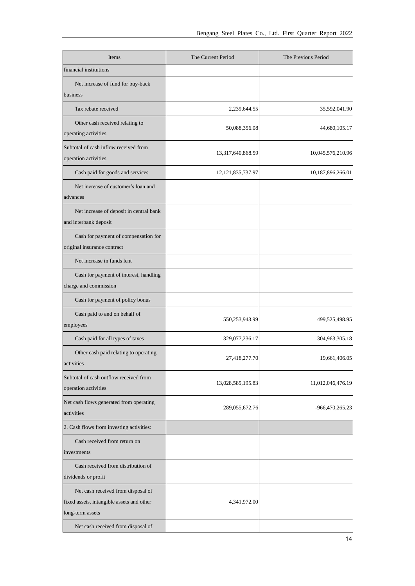| Items                                                               | The Current Period    | The Previous Period |
|---------------------------------------------------------------------|-----------------------|---------------------|
| financial institutions                                              |                       |                     |
| Net increase of fund for buy-back                                   |                       |                     |
| business                                                            |                       |                     |
| Tax rebate received                                                 | 2,239,644.55          | 35,592,041.90       |
| Other cash received relating to                                     | 50,088,356.08         | 44,680,105.17       |
| operating activities                                                |                       |                     |
| Subtotal of cash inflow received from                               | 13,317,640,868.59     | 10,045,576,210.96   |
| operation activities                                                |                       |                     |
| Cash paid for goods and services                                    | 12, 121, 835, 737. 97 | 10,187,896,266.01   |
| Net increase of customer's loan and                                 |                       |                     |
| advances                                                            |                       |                     |
| Net increase of deposit in central bank<br>and interbank deposit    |                       |                     |
|                                                                     |                       |                     |
| Cash for payment of compensation for<br>original insurance contract |                       |                     |
| Net increase in funds lent                                          |                       |                     |
| Cash for payment of interest, handling                              |                       |                     |
| charge and commission                                               |                       |                     |
| Cash for payment of policy bonus                                    |                       |                     |
| Cash paid to and on behalf of                                       |                       |                     |
| employees                                                           | 550,253,943.99        | 499,525,498.95      |
| Cash paid for all types of taxes                                    | 329,077,236.17        | 304,963,305.18      |
| Other cash paid relating to operating                               | 27,418,277.70         | 19,661,406.05       |
| activities                                                          |                       |                     |
| Subtotal of cash outflow received from                              | 13,028,585,195.83     | 11,012,046,476.19   |
| operation activities                                                |                       |                     |
| Net cash flows generated from operating<br>activities               | 289,055,672.76        | -966,470,265.23     |
| 2. Cash flows from investing activities:                            |                       |                     |
| Cash received from return on                                        |                       |                     |
| investments                                                         |                       |                     |
| Cash received from distribution of                                  |                       |                     |
| dividends or profit                                                 |                       |                     |
| Net cash received from disposal of                                  |                       |                     |
| fixed assets, intangible assets and other                           | 4,341,972.00          |                     |
| long-term assets                                                    |                       |                     |
| Net cash received from disposal of                                  |                       |                     |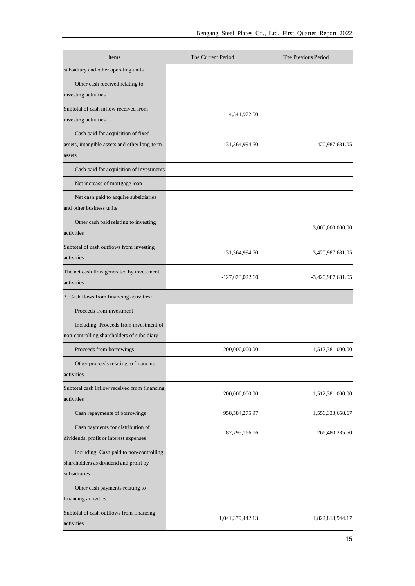| Items                                                             | The Current Period | The Previous Period |
|-------------------------------------------------------------------|--------------------|---------------------|
| subsidiary and other operating units                              |                    |                     |
| Other cash received relating to                                   |                    |                     |
| investing activities                                              |                    |                     |
| Subtotal of cash inflow received from                             | 4,341,972.00       |                     |
| investing activities                                              |                    |                     |
| Cash paid for acquisition of fixed                                |                    |                     |
| assets, intangible assets and other long-term<br>assets           | 131,364,994.60     | 420,987,681.05      |
|                                                                   |                    |                     |
| Cash paid for acquisition of investments                          |                    |                     |
| Net increase of mortgage loan                                     |                    |                     |
| Net cash paid to acquire subsidiaries<br>and other business units |                    |                     |
| Other cash paid relating to investing<br>activities               |                    | 3,000,000,000.00    |
| Subtotal of cash outflows from investing                          |                    |                     |
| activities                                                        | 131,364,994.60     | 3,420,987,681.05    |
| The net cash flow generated by investment                         | $-127,023,022.60$  | -3,420,987,681.05   |
| activities                                                        |                    |                     |
| 3. Cash flows from financing activities:                          |                    |                     |
| Proceeds from investment                                          |                    |                     |
| Including: Proceeds from investment of                            |                    |                     |
| non-controlling shareholders of subsidiary                        |                    |                     |
| Proceeds from borrowings                                          | 200,000,000.00     | 1,512,381,000.00    |
| Other proceeds relating to financing                              |                    |                     |
| activities                                                        |                    |                     |
| Subtotal cash inflow received from financing                      | 200,000,000.00     | 1,512,381,000.00    |
| activities                                                        |                    |                     |
| Cash repayments of borrowings                                     | 958,584,275.97     | 1,556,333,658.67    |
| Cash payments for distribution of                                 | 82,795,166.16      | 266,480,285.50      |
| dividends, profit or interest expenses                            |                    |                     |
| Including: Cash paid to non-controlling                           |                    |                     |
| shareholders as dividend and profit by<br>subsidiaries            |                    |                     |
| Other cash payments relating to                                   |                    |                     |
| financing activities                                              |                    |                     |
| Subtotal of cash outflows from financing                          |                    |                     |
| activities                                                        | 1,041,379,442.13   | 1,822,813,944.17    |